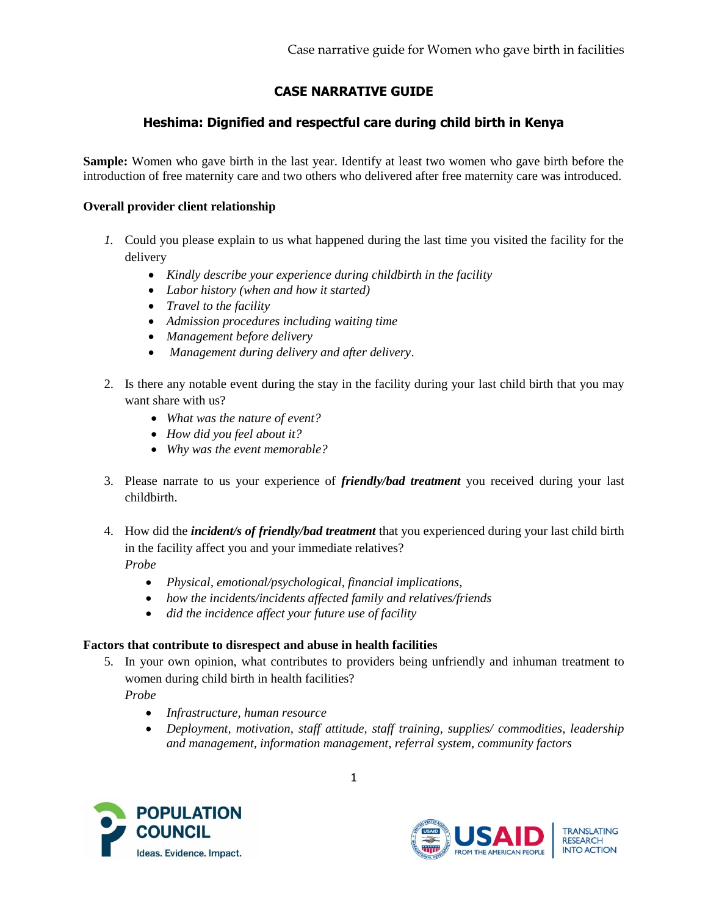# **CASE NARRATIVE GUIDE**

## **Heshima: Dignified and respectful care during child birth in Kenya**

**Sample:** Women who gave birth in the last year. Identify at least two women who gave birth before the introduction of free maternity care and two others who delivered after free maternity care was introduced.

## **Overall provider client relationship**

- *1.* Could you please explain to us what happened during the last time you visited the facility for the delivery
	- *Kindly describe your experience during childbirth in the facility*
	- *Labor history (when and how it started)*
	- *Travel to the facility*
	- *Admission procedures including waiting time*
	- *Management before delivery*
	- *Management during delivery and after delivery*.
- 2. Is there any notable event during the stay in the facility during your last child birth that you may want share with us?
	- *What was the nature of event?*
	- *How did you feel about it?*
	- *Why was the event memorable?*
- 3. Please narrate to us your experience of *friendly/bad treatment* you received during your last childbirth.
- 4. How did the *incident/s of friendly/bad treatment* that you experienced during your last child birth in the facility affect you and your immediate relatives?

*Probe* 

- *Physical, emotional/psychological, financial implications,*
- *how the incidents/incidents affected family and relatives/friends*
- *did the incidence affect your future use of facility*

## **Factors that contribute to disrespect and abuse in health facilities**

5. In your own opinion, what contributes to providers being unfriendly and inhuman treatment to women during child birth in health facilities?

*Probe* 

- *Infrastructure, human resource*
- *Deployment, motivation, staff attitude, staff training, supplies/ commodities, leadership and management, information management, referral system, community factors*